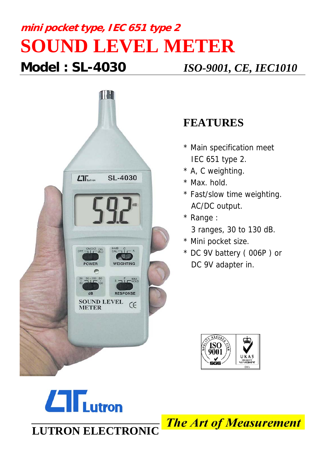## **mini pocket type, IEC 651 type 2 SOUND LEVEL METER Model : SL-4030** *ISO-9001, CE, IEC1010*



## **FEATURES**

- \* Main specification meet IEC 651 type 2.
- \* A, C weighting.
- \* Max. hold.
- \* Fast/slow time weighting. AC/DC output.
- \* Range :
	- 3 ranges, 30 to 130 dB.
- \* Mini pocket size.
- \* DC 9V battery ( 006P ) or DC 9V adapter in.





**The Art of Measurement**